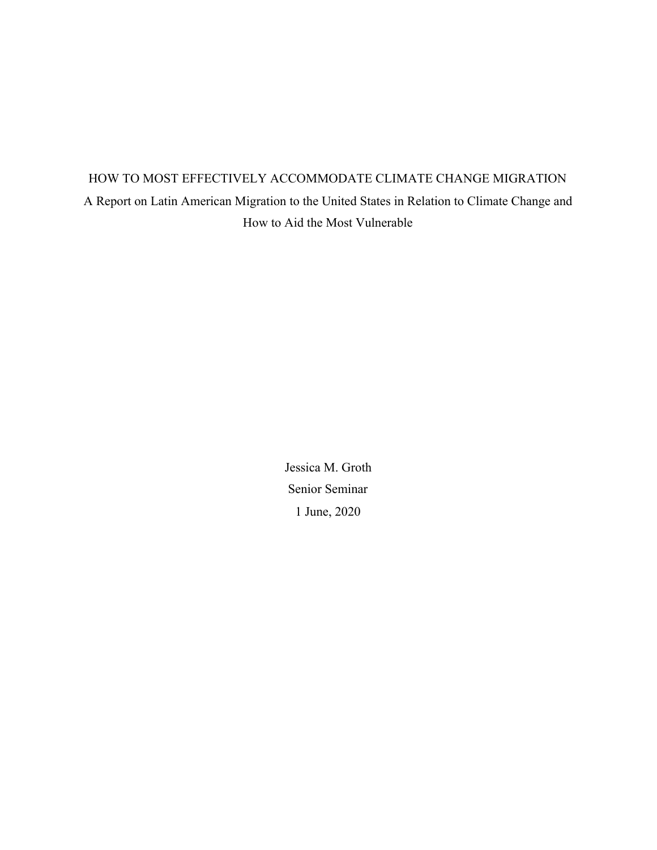# HOW TO MOST EFFECTIVELY ACCOMMODATE CLIMATE CHANGE MIGRATION A Report on Latin American Migration to the United States in Relation to Climate Change and How to Aid the Most Vulnerable

Jessica M. Groth Senior Seminar 1 June, 2020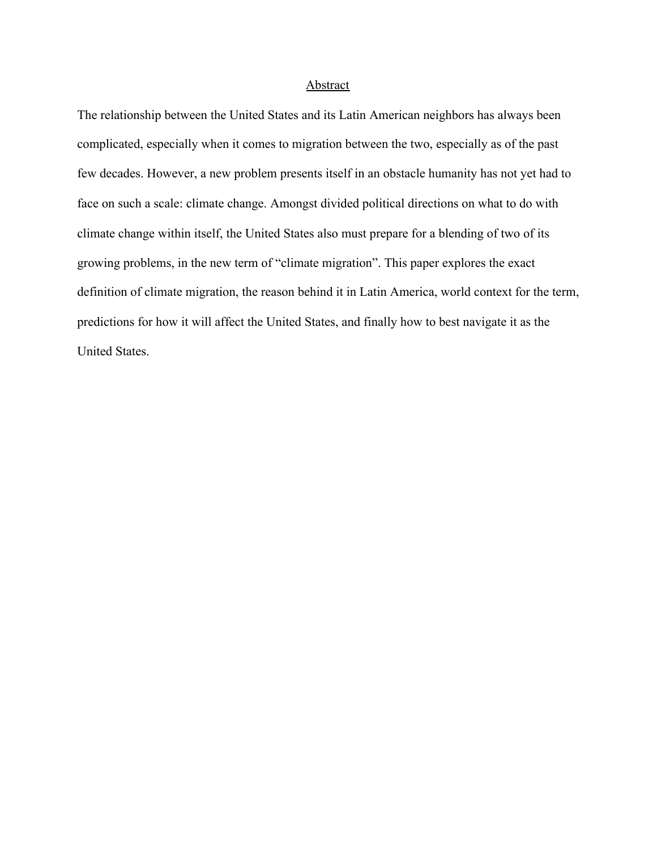### **Abstract**

The relationship between the United States and its Latin American neighbors has always been complicated, especially when it comes to migration between the two, especially as of the past few decades. However, a new problem presents itself in an obstacle humanity has not yet had to face on such a scale: climate change. Amongst divided political directions on what to do with climate change within itself, the United States also must prepare for a blending of two of its growing problems, in the new term of "climate migration". This paper explores the exact definition of climate migration, the reason behind it in Latin America, world context for the term, predictions for how it will affect the United States, and finally how to best navigate it as the United States.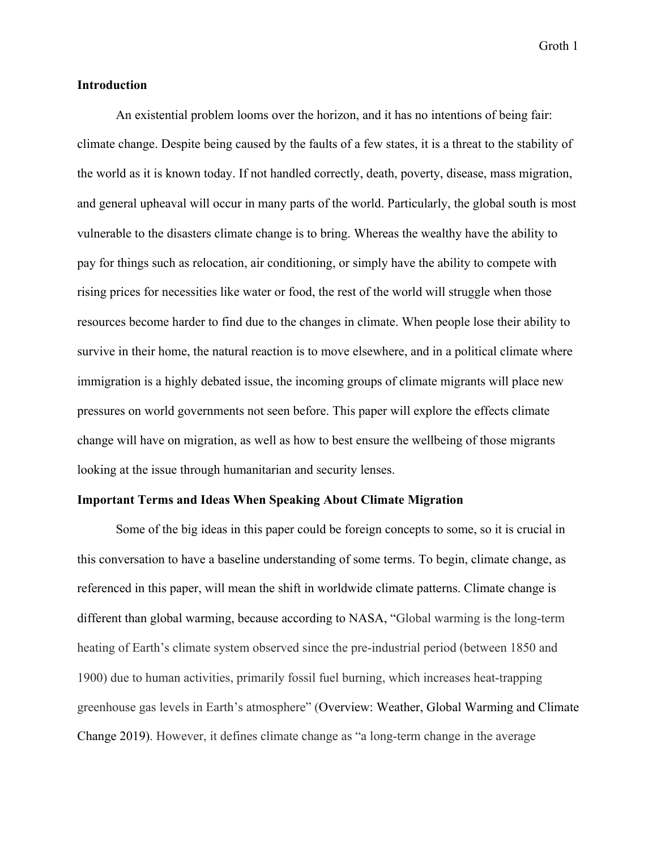## **Introduction**

An existential problem looms over the horizon, and it has no intentions of being fair: climate change. Despite being caused by the faults of a few states, it is a threat to the stability of the world as it is known today. If not handled correctly, death, poverty, disease, mass migration, and general upheaval will occur in many parts of the world. Particularly, the global south is most vulnerable to the disasters climate change is to bring. Whereas the wealthy have the ability to pay for things such as relocation, air conditioning, or simply have the ability to compete with rising prices for necessities like water or food, the rest of the world will struggle when those resources become harder to find due to the changes in climate. When people lose their ability to survive in their home, the natural reaction is to move elsewhere, and in a political climate where immigration is a highly debated issue, the incoming groups of climate migrants will place new pressures on world governments not seen before. This paper will explore the effects climate change will have on migration, as well as how to best ensure the wellbeing of those migrants looking at the issue through humanitarian and security lenses.

#### **Important Terms and Ideas When Speaking About Climate Migration**

Some of the big ideas in this paper could be foreign concepts to some, so it is crucial in this conversation to have a baseline understanding of some terms. To begin, climate change, as referenced in this paper, will mean the shift in worldwide climate patterns. Climate change is different than global warming, because according to NASA, "Global warming is the long-term heating of Earth's climate system observed since the pre-industrial period (between 1850 and 1900) due to human activities, primarily fossil fuel burning, which increases heat-trapping greenhouse gas levels in Earth's atmosphere" (Overview: Weather, Global Warming and Climate Change 2019). However, it defines climate change as "a long-term change in the average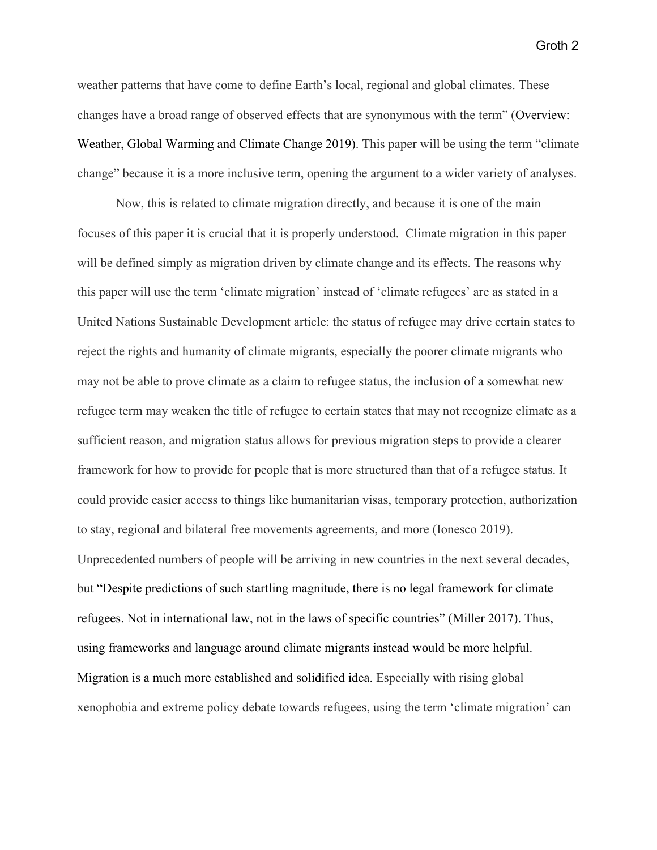weather patterns that have come to define Earth's local, regional and global climates. These changes have a broad range of observed effects that are synonymous with the term" (Overview: Weather, Global Warming and Climate Change 2019). This paper will be using the term "climate change" because it is a more inclusive term, opening the argument to a wider variety of analyses.

Now, this is related to climate migration directly, and because it is one of the main focuses of this paper it is crucial that it is properly understood. Climate migration in this paper will be defined simply as migration driven by climate change and its effects. The reasons why this paper will use the term 'climate migration' instead of 'climate refugees' are as stated in a United Nations Sustainable Development article: the status of refugee may drive certain states to reject the rights and humanity of climate migrants, especially the poorer climate migrants who may not be able to prove climate as a claim to refugee status, the inclusion of a somewhat new refugee term may weaken the title of refugee to certain states that may not recognize climate as a sufficient reason, and migration status allows for previous migration steps to provide a clearer framework for how to provide for people that is more structured than that of a refugee status. It could provide easier access to things like humanitarian visas, temporary protection, authorization to stay, regional and bilateral free movements agreements, and more (Ionesco 2019). Unprecedented numbers of people will be arriving in new countries in the next several decades, but "Despite predictions of such startling magnitude, there is no legal framework for climate refugees. Not in international law, not in the laws of specific countries" (Miller 2017). Thus, using frameworks and language around climate migrants instead would be more helpful. Migration is a much more established and solidified idea. Especially with rising global xenophobia and extreme policy debate towards refugees, using the term 'climate migration' can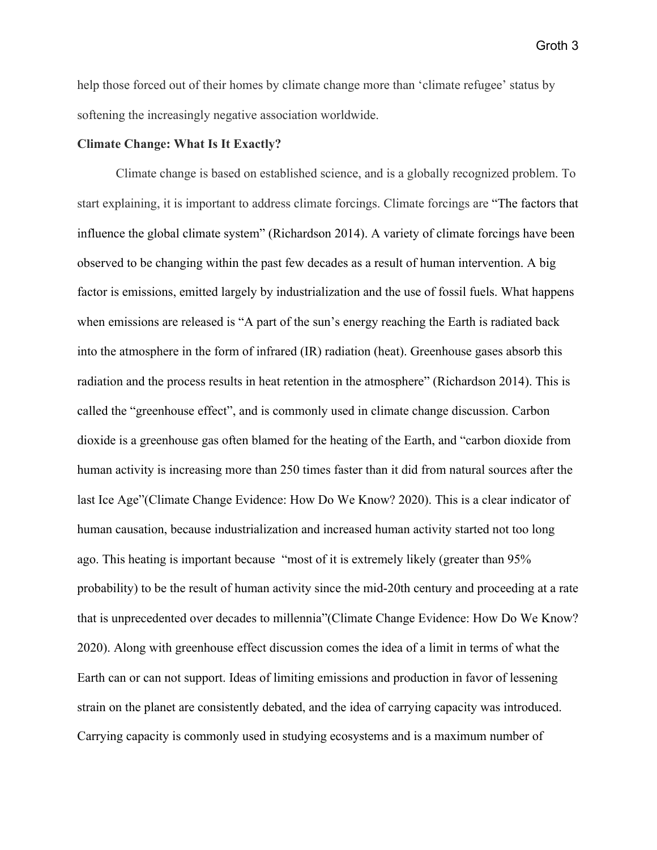help those forced out of their homes by climate change more than 'climate refugee' status by softening the increasingly negative association worldwide.

#### **Climate Change: What Is It Exactly?**

Climate change is based on established science, and is a globally recognized problem. To start explaining, it is important to address climate forcings. Climate forcings are "The factors that influence the global climate system" (Richardson 2014). A variety of climate forcings have been observed to be changing within the past few decades as a result of human intervention. A big factor is emissions, emitted largely by industrialization and the use of fossil fuels. What happens when emissions are released is "A part of the sun's energy reaching the Earth is radiated back into the atmosphere in the form of infrared (IR) radiation (heat). Greenhouse gases absorb this radiation and the process results in heat retention in the atmosphere" (Richardson 2014). This is called the "greenhouse effect", and is commonly used in climate change discussion. Carbon dioxide is a greenhouse gas often blamed for the heating of the Earth, and "carbon dioxide from human activity is increasing more than 250 times faster than it did from natural sources after the last Ice Age"(Climate Change Evidence: How Do We Know? 2020). This is a clear indicator of human causation, because industrialization and increased human activity started not too long ago. This heating is important because "most of it is extremely likely (greater than 95% probability) to be the result of human activity since the mid-20th century and proceeding at a rate that is unprecedented over decades to millennia"(Climate Change Evidence: How Do We Know? 2020). Along with greenhouse effect discussion comes the idea of a limit in terms of what the Earth can or can not support. Ideas of limiting emissions and production in favor of lessening strain on the planet are consistently debated, and the idea of carrying capacity was introduced. Carrying capacity is commonly used in studying ecosystems and is a maximum number of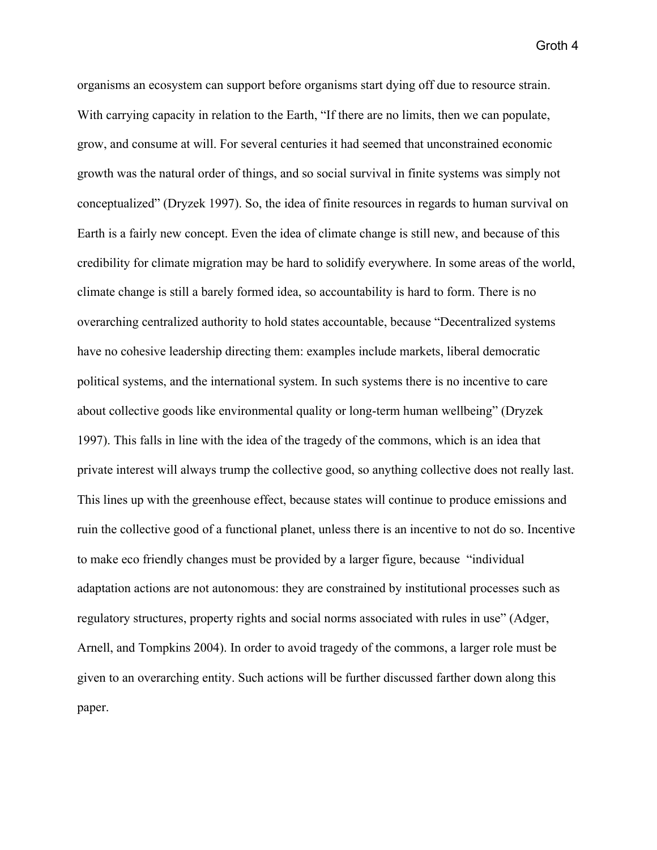organisms an ecosystem can support before organisms start dying off due to resource strain. With carrying capacity in relation to the Earth, "If there are no limits, then we can populate, grow, and consume at will. For several centuries it had seemed that unconstrained economic growth was the natural order of things, and so social survival in finite systems was simply not conceptualized" (Dryzek 1997). So, the idea of finite resources in regards to human survival on Earth is a fairly new concept. Even the idea of climate change is still new, and because of this credibility for climate migration may be hard to solidify everywhere. In some areas of the world, climate change is still a barely formed idea, so accountability is hard to form. There is no overarching centralized authority to hold states accountable, because "Decentralized systems have no cohesive leadership directing them: examples include markets, liberal democratic political systems, and the international system. In such systems there is no incentive to care about collective goods like environmental quality or long-term human wellbeing" (Dryzek 1997). This falls in line with the idea of the tragedy of the commons, which is an idea that private interest will always trump the collective good, so anything collective does not really last. This lines up with the greenhouse effect, because states will continue to produce emissions and ruin the collective good of a functional planet, unless there is an incentive to not do so. Incentive to make eco friendly changes must be provided by a larger figure, because "individual adaptation actions are not autonomous: they are constrained by institutional processes such as regulatory structures, property rights and social norms associated with rules in use" (Adger, Arnell, and Tompkins 2004). In order to avoid tragedy of the commons, a larger role must be given to an overarching entity. Such actions will be further discussed farther down along this paper.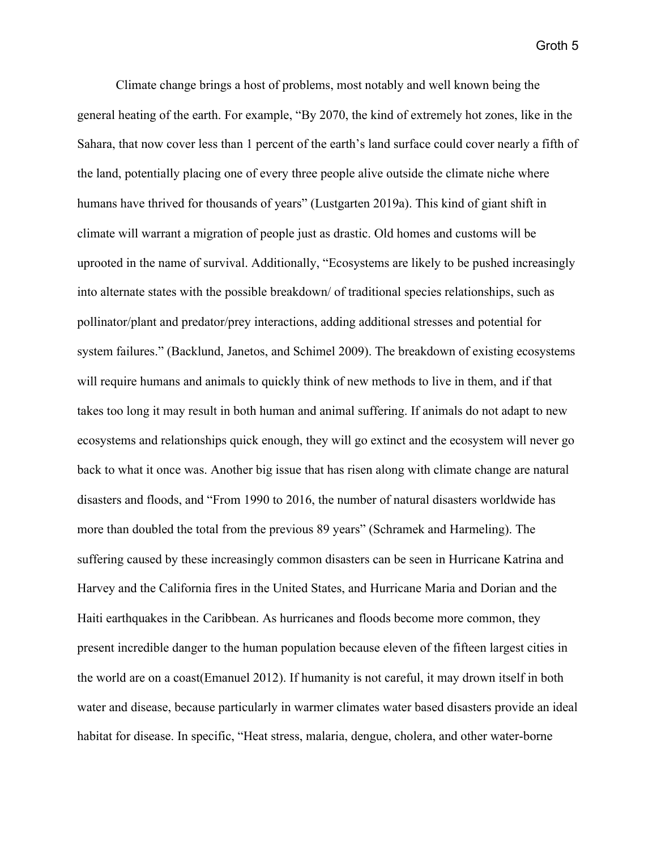Climate change brings a host of problems, most notably and well known being the general heating of the earth. For example, "By 2070, the kind of extremely hot zones, like in the Sahara, that now cover less than 1 percent of the earth's land surface could cover nearly a fifth of the land, potentially placing one of every three people alive outside the climate niche where humans have thrived for thousands of years" (Lustgarten 2019a). This kind of giant shift in climate will warrant a migration of people just as drastic. Old homes and customs will be uprooted in the name of survival. Additionally, "Ecosystems are likely to be pushed increasingly into alternate states with the possible breakdown/ of traditional species relationships, such as pollinator/plant and predator/prey interactions, adding additional stresses and potential for system failures." (Backlund, Janetos, and Schimel 2009). The breakdown of existing ecosystems will require humans and animals to quickly think of new methods to live in them, and if that takes too long it may result in both human and animal suffering. If animals do not adapt to new ecosystems and relationships quick enough, they will go extinct and the ecosystem will never go back to what it once was. Another big issue that has risen along with climate change are natural disasters and floods, and "From 1990 to 2016, the number of natural disasters worldwide has more than doubled the total from the previous 89 years" (Schramek and Harmeling). The suffering caused by these increasingly common disasters can be seen in Hurricane Katrina and Harvey and the California fires in the United States, and Hurricane Maria and Dorian and the Haiti earthquakes in the Caribbean. As hurricanes and floods become more common, they present incredible danger to the human population because eleven of the fifteen largest cities in the world are on a coast(Emanuel 2012). If humanity is not careful, it may drown itself in both water and disease, because particularly in warmer climates water based disasters provide an ideal habitat for disease. In specific, "Heat stress, malaria, dengue, cholera, and other water-borne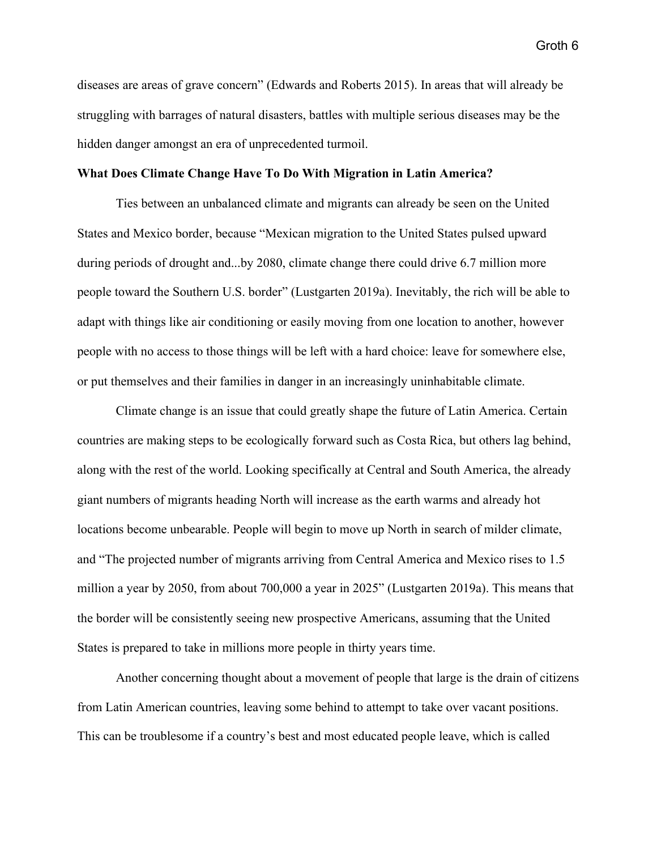diseases are areas of grave concern" (Edwards and Roberts 2015). In areas that will already be struggling with barrages of natural disasters, battles with multiple serious diseases may be the hidden danger amongst an era of unprecedented turmoil.

### **What Does Climate Change Have To Do With Migration in Latin America?**

Ties between an unbalanced climate and migrants can already be seen on the United States and Mexico border, because "Mexican migration to the United States pulsed upward during periods of drought and...by 2080, climate change there could drive 6.7 million more people toward the Southern U.S. border" (Lustgarten 2019a). Inevitably, the rich will be able to adapt with things like air conditioning or easily moving from one location to another, however people with no access to those things will be left with a hard choice: leave for somewhere else, or put themselves and their families in danger in an increasingly uninhabitable climate.

Climate change is an issue that could greatly shape the future of Latin America. Certain countries are making steps to be ecologically forward such as Costa Rica, but others lag behind, along with the rest of the world. Looking specifically at Central and South America, the already giant numbers of migrants heading North will increase as the earth warms and already hot locations become unbearable. People will begin to move up North in search of milder climate, and "The projected number of migrants arriving from Central America and Mexico rises to 1.5 million a year by 2050, from about 700,000 a year in 2025" (Lustgarten 2019a). This means that the border will be consistently seeing new prospective Americans, assuming that the United States is prepared to take in millions more people in thirty years time.

Another concerning thought about a movement of people that large is the drain of citizens from Latin American countries, leaving some behind to attempt to take over vacant positions. This can be troublesome if a country's best and most educated people leave, which is called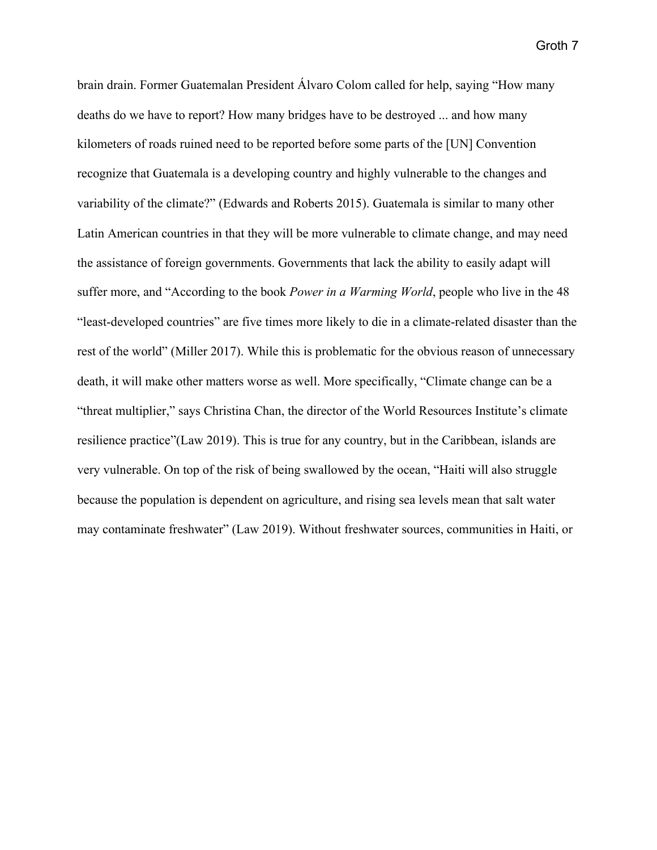brain drain. Former Guatemalan President Álvaro Colom called for help, saying "How many deaths do we have to report? How many bridges have to be destroyed ... and how many kilometers of roads ruined need to be reported before some parts of the [UN] Convention recognize that Guatemala is a developing country and highly vulnerable to the changes and variability of the climate?" (Edwards and Roberts 2015). Guatemala is similar to many other Latin American countries in that they will be more vulnerable to climate change, and may need the assistance of foreign governments. Governments that lack the ability to easily adapt will suffer more, and "According to the book *Power in a Warming World*, people who live in the 48 "least-developed countries" are five times more likely to die in a climate-related disaster than the rest of the world" (Miller 2017). While this is problematic for the obvious reason of unnecessary death, it will make other matters worse as well. More specifically, "Climate change can be a "threat multiplier," says Christina Chan, the director of the World Resources Institute's climate resilience practice"(Law 2019). This is true for any country, but in the Caribbean, islands are very vulnerable. On top of the risk of being swallowed by the ocean, "Haiti will also struggle because the population is dependent on agriculture, and rising sea levels mean that salt water may contaminate freshwater" (Law 2019). Without freshwater sources, communities in Haiti, or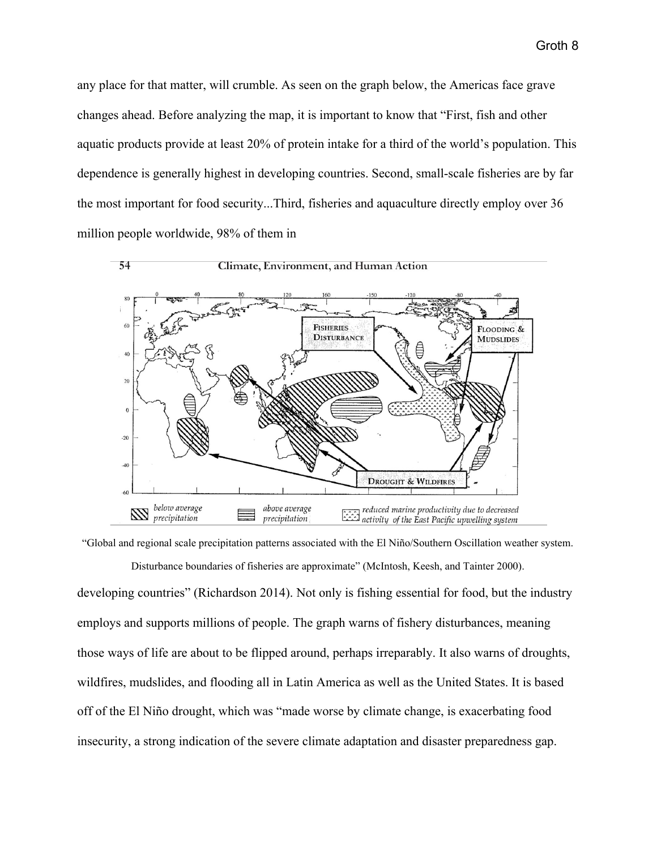any place for that matter, will crumble. As seen on the graph below, the Americas face grave changes ahead. Before analyzing the map, it is important to know that "First, fish and other aquatic products provide at least 20% of protein intake for a third of the world's population. This dependence is generally highest in developing countries. Second, small-scale fisheries are by far the most important for food security...Third, fisheries and aquaculture directly employ over 36 million people worldwide, 98% of them in



#### Climate, Environment, and Human Action



"Global and regional scale precipitation patterns associated with the El Niño/Southern Oscillation weather system.

Disturbance boundaries of fisheries are approximate" (McIntosh, Keesh, and Tainter 2000). developing countries" (Richardson 2014). Not only is fishing essential for food, but the industry employs and supports millions of people. The graph warns of fishery disturbances, meaning those ways of life are about to be flipped around, perhaps irreparably. It also warns of droughts, wildfires, mudslides, and flooding all in Latin America as well as the United States. It is based off of the El Niño drought, which was "made worse by climate change, is exacerbating food insecurity, a strong indication of the severe climate adaptation and disaster preparedness gap.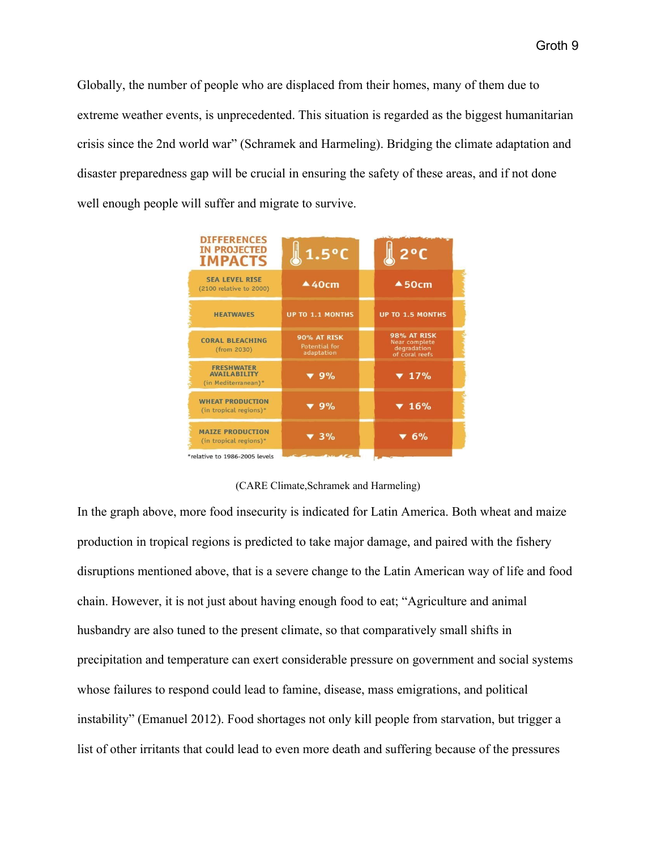Globally, the number of people who are displaced from their homes, many of them due to extreme weather events, is unprecedented. This situation is regarded as the biggest humanitarian crisis since the 2nd world war" (Schramek and Harmeling). Bridging the climate adaptation and disaster preparedness gap will be crucial in ensuring the safety of these areas, and if not done well enough people will suffer and migrate to survive.

| <b>DIFFERENCES</b><br><b>IN PROJECTED</b><br><b>IMPACTS</b>     | $\sqrt{1.5^{\circ}C}$                      | $2^{\circ}C$                                                         |
|-----------------------------------------------------------------|--------------------------------------------|----------------------------------------------------------------------|
| <b>SEA LEVEL RISE</b><br>(2100 relative to 2000)                | 440cm                                      | 450cm                                                                |
| <b>HEATWAVES</b>                                                | <b>UP TO 1.1 MONTHS</b>                    | <b>UP TO 1.5 MONTHS</b>                                              |
| <b>CORAL BLEACHING</b><br>(from 2030)                           | 90% AT RISK<br>Potential for<br>adaptation | <b>98% AT RISK</b><br>Near complete<br>degradation<br>of coral reefs |
| <b>FRESHWATER</b><br><b>AVAILABILITY</b><br>(in Mediterranean)* | $\blacktriangledown$ 9%                    | $\blacktriangledown$ 17%                                             |
| <b>WHEAT PRODUCTION</b><br>(in tropical regions)*               | $\blacktriangledown$ 9%                    | $\blacktriangledown 16%$                                             |
| <b>MAIZE PRODUCTION</b><br>(in tropical regions)*               | $\blacktriangledown$ 3%                    | ▼ 6%                                                                 |
| *relative to 1986-2005 levels                                   |                                            |                                                                      |

## (CARE Climate,Schramek and Harmeling)

In the graph above, more food insecurity is indicated for Latin America. Both wheat and maize production in tropical regions is predicted to take major damage, and paired with the fishery disruptions mentioned above, that is a severe change to the Latin American way of life and food chain. However, it is not just about having enough food to eat; "Agriculture and animal husbandry are also tuned to the present climate, so that comparatively small shifts in precipitation and temperature can exert considerable pressure on government and social systems whose failures to respond could lead to famine, disease, mass emigrations, and political instability" (Emanuel 2012). Food shortages not only kill people from starvation, but trigger a list of other irritants that could lead to even more death and suffering because of the pressures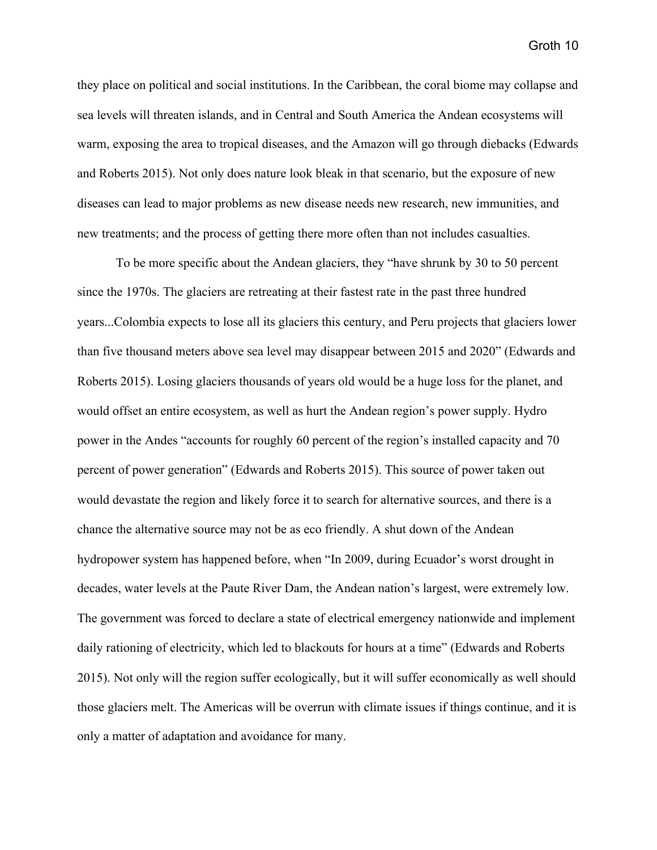they place on political and social institutions. In the Caribbean, the coral biome may collapse and sea levels will threaten islands, and in Central and South America the Andean ecosystems will warm, exposing the area to tropical diseases, and the Amazon will go through diebacks (Edwards and Roberts 2015). Not only does nature look bleak in that scenario, but the exposure of new diseases can lead to major problems as new disease needs new research, new immunities, and new treatments; and the process of getting there more often than not includes casualties.

To be more specific about the Andean glaciers, they "have shrunk by 30 to 50 percent since the 1970s. The glaciers are retreating at their fastest rate in the past three hundred years...Colombia expects to lose all its glaciers this century, and Peru projects that glaciers lower than five thousand meters above sea level may disappear between 2015 and 2020" (Edwards and Roberts 2015). Losing glaciers thousands of years old would be a huge loss for the planet, and would offset an entire ecosystem, as well as hurt the Andean region's power supply. Hydro power in the Andes "accounts for roughly 60 percent of the region's installed capacity and 70 percent of power generation" (Edwards and Roberts 2015). This source of power taken out would devastate the region and likely force it to search for alternative sources, and there is a chance the alternative source may not be as eco friendly. A shut down of the Andean hydropower system has happened before, when "In 2009, during Ecuador's worst drought in decades, water levels at the Paute River Dam, the Andean nation's largest, were extremely low. The government was forced to declare a state of electrical emergency nationwide and implement daily rationing of electricity, which led to blackouts for hours at a time" (Edwards and Roberts 2015). Not only will the region suffer ecologically, but it will suffer economically as well should those glaciers melt. The Americas will be overrun with climate issues if things continue, and it is only a matter of adaptation and avoidance for many.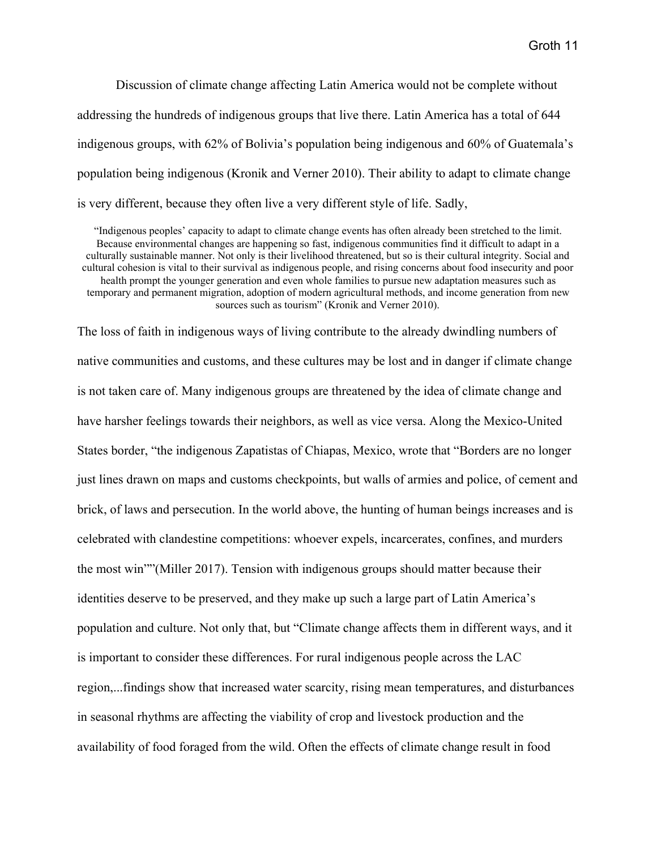Discussion of climate change affecting Latin America would not be complete without addressing the hundreds of indigenous groups that live there. Latin America has a total of 644 indigenous groups, with 62% of Bolivia's population being indigenous and 60% of Guatemala's population being indigenous (Kronik and Verner 2010). Their ability to adapt to climate change is very different, because they often live a very different style of life. Sadly,

"Indigenous peoples' capacity to adapt to climate change events has often already been stretched to the limit. Because environmental changes are happening so fast, indigenous communities find it difficult to adapt in a culturally sustainable manner. Not only is their livelihood threatened, but so is their cultural integrity. Social and cultural cohesion is vital to their survival as indigenous people, and rising concerns about food insecurity and poor health prompt the younger generation and even whole families to pursue new adaptation measures such as temporary and permanent migration, adoption of modern agricultural methods, and income generation from new sources such as tourism" (Kronik and Verner 2010).

The loss of faith in indigenous ways of living contribute to the already dwindling numbers of native communities and customs, and these cultures may be lost and in danger if climate change is not taken care of. Many indigenous groups are threatened by the idea of climate change and have harsher feelings towards their neighbors, as well as vice versa. Along the Mexico-United States border, "the indigenous Zapatistas of Chiapas, Mexico, wrote that "Borders are no longer just lines drawn on maps and customs checkpoints, but walls of armies and police, of cement and brick, of laws and persecution. In the world above, the hunting of human beings increases and is celebrated with clandestine competitions: whoever expels, incarcerates, confines, and murders the most win""(Miller 2017). Tension with indigenous groups should matter because their identities deserve to be preserved, and they make up such a large part of Latin America's population and culture. Not only that, but "Climate change affects them in different ways, and it is important to consider these differences. For rural indigenous people across the LAC region,...findings show that increased water scarcity, rising mean temperatures, and disturbances in seasonal rhythms are affecting the viability of crop and livestock production and the availability of food foraged from the wild. Often the effects of climate change result in food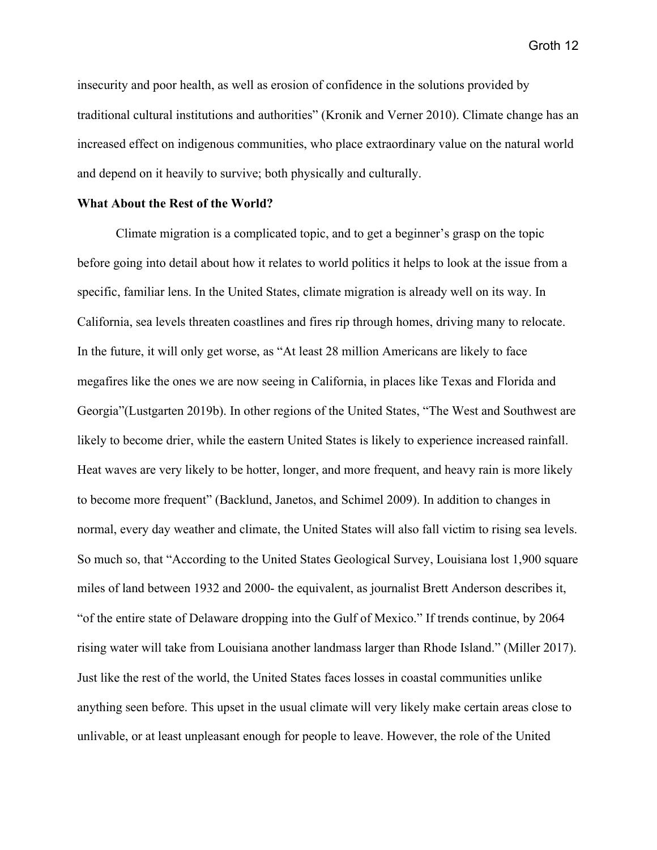insecurity and poor health, as well as erosion of confidence in the solutions provided by traditional cultural institutions and authorities" (Kronik and Verner 2010). Climate change has an increased effect on indigenous communities, who place extraordinary value on the natural world and depend on it heavily to survive; both physically and culturally.

### **What About the Rest of the World?**

Climate migration is a complicated topic, and to get a beginner's grasp on the topic before going into detail about how it relates to world politics it helps to look at the issue from a specific, familiar lens. In the United States, climate migration is already well on its way. In California, sea levels threaten coastlines and fires rip through homes, driving many to relocate. In the future, it will only get worse, as "At least 28 million Americans are likely to face megafires like the ones we are now seeing in California, in places like Texas and Florida and Georgia"(Lustgarten 2019b). In other regions of the United States, "The West and Southwest are likely to become drier, while the eastern United States is likely to experience increased rainfall. Heat waves are very likely to be hotter, longer, and more frequent, and heavy rain is more likely to become more frequent" (Backlund, Janetos, and Schimel 2009). In addition to changes in normal, every day weather and climate, the United States will also fall victim to rising sea levels. So much so, that "According to the United States Geological Survey, Louisiana lost 1,900 square miles of land between 1932 and 2000- the equivalent, as journalist Brett Anderson describes it, "of the entire state of Delaware dropping into the Gulf of Mexico." If trends continue, by 2064 rising water will take from Louisiana another landmass larger than Rhode Island." (Miller 2017). Just like the rest of the world, the United States faces losses in coastal communities unlike anything seen before. This upset in the usual climate will very likely make certain areas close to unlivable, or at least unpleasant enough for people to leave. However, the role of the United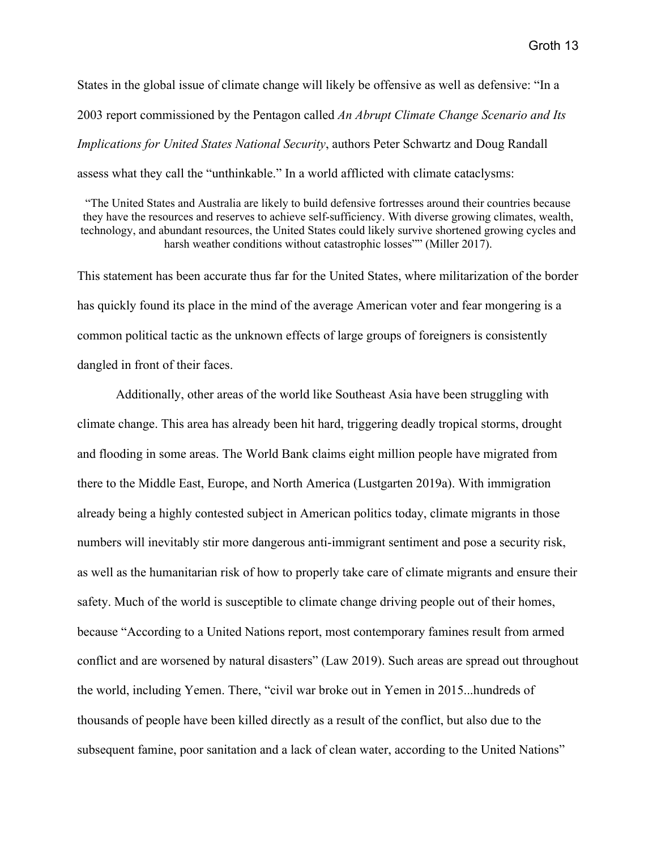States in the global issue of climate change will likely be offensive as well as defensive: "In a 2003 report commissioned by the Pentagon called *An Abrupt Climate Change Scenario and Its Implications for United States National Security*, authors Peter Schwartz and Doug Randall assess what they call the "unthinkable." In a world afflicted with climate cataclysms:

"The United States and Australia are likely to build defensive fortresses around their countries because they have the resources and reserves to achieve self-sufficiency. With diverse growing climates, wealth, technology, and abundant resources, the United States could likely survive shortened growing cycles and harsh weather conditions without catastrophic losses"" (Miller 2017).

This statement has been accurate thus far for the United States, where militarization of the border has quickly found its place in the mind of the average American voter and fear mongering is a common political tactic as the unknown effects of large groups of foreigners is consistently dangled in front of their faces.

Additionally, other areas of the world like Southeast Asia have been struggling with climate change. This area has already been hit hard, triggering deadly tropical storms, drought and flooding in some areas. The World Bank claims eight million people have migrated from there to the Middle East, Europe, and North America (Lustgarten 2019a). With immigration already being a highly contested subject in American politics today, climate migrants in those numbers will inevitably stir more dangerous anti-immigrant sentiment and pose a security risk, as well as the humanitarian risk of how to properly take care of climate migrants and ensure their safety. Much of the world is susceptible to climate change driving people out of their homes, because "According to a United Nations report, most contemporary famines result from armed conflict and are worsened by natural disasters" (Law 2019). Such areas are spread out throughout the world, including Yemen. There, "civil war broke out in Yemen in 2015...hundreds of thousands of people have been killed directly as a result of the conflict, but also due to the subsequent famine, poor sanitation and a lack of clean water, according to the United Nations"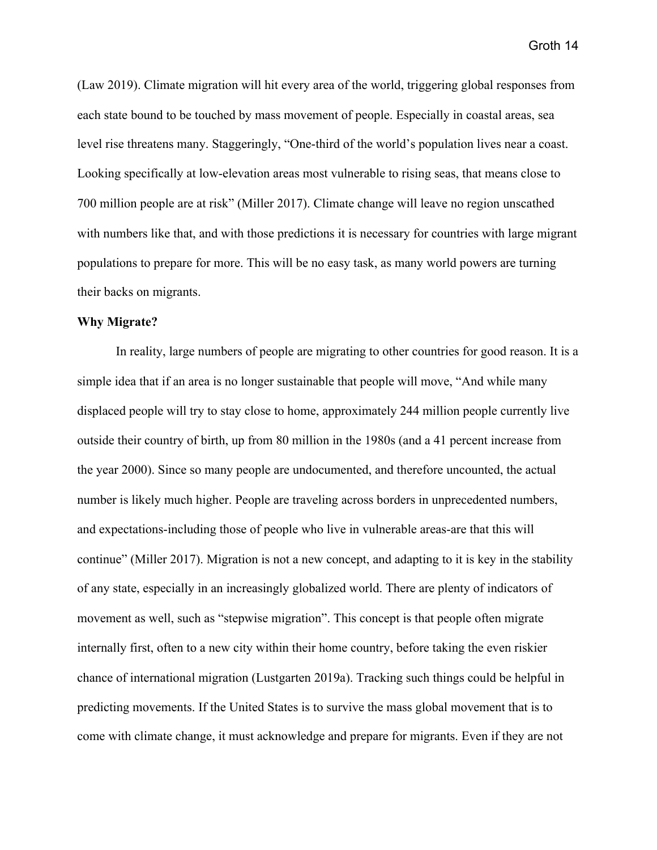(Law 2019). Climate migration will hit every area of the world, triggering global responses from each state bound to be touched by mass movement of people. Especially in coastal areas, sea level rise threatens many. Staggeringly, "One-third of the world's population lives near a coast. Looking specifically at low-elevation areas most vulnerable to rising seas, that means close to 700 million people are at risk" (Miller 2017). Climate change will leave no region unscathed with numbers like that, and with those predictions it is necessary for countries with large migrant populations to prepare for more. This will be no easy task, as many world powers are turning their backs on migrants.

#### **Why Migrate?**

In reality, large numbers of people are migrating to other countries for good reason. It is a simple idea that if an area is no longer sustainable that people will move, "And while many displaced people will try to stay close to home, approximately 244 million people currently live outside their country of birth, up from 80 million in the 1980s (and a 41 percent increase from the year 2000). Since so many people are undocumented, and therefore uncounted, the actual number is likely much higher. People are traveling across borders in unprecedented numbers, and expectations-including those of people who live in vulnerable areas-are that this will continue" (Miller 2017). Migration is not a new concept, and adapting to it is key in the stability of any state, especially in an increasingly globalized world. There are plenty of indicators of movement as well, such as "stepwise migration". This concept is that people often migrate internally first, often to a new city within their home country, before taking the even riskier chance of international migration (Lustgarten 2019a). Tracking such things could be helpful in predicting movements. If the United States is to survive the mass global movement that is to come with climate change, it must acknowledge and prepare for migrants. Even if they are not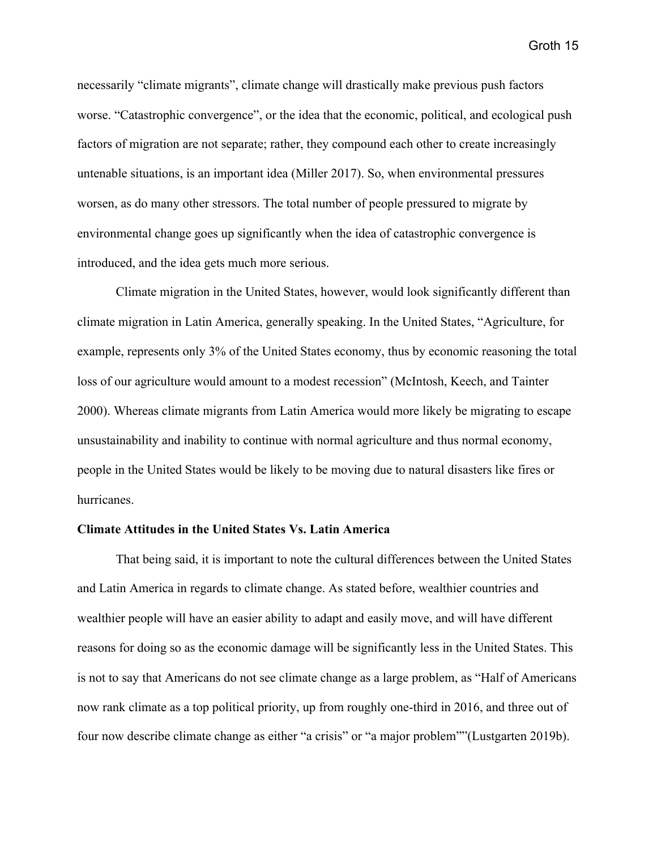necessarily "climate migrants", climate change will drastically make previous push factors worse. "Catastrophic convergence", or the idea that the economic, political, and ecological push factors of migration are not separate; rather, they compound each other to create increasingly untenable situations, is an important idea (Miller 2017). So, when environmental pressures worsen, as do many other stressors. The total number of people pressured to migrate by environmental change goes up significantly when the idea of catastrophic convergence is introduced, and the idea gets much more serious.

Climate migration in the United States, however, would look significantly different than climate migration in Latin America, generally speaking. In the United States, "Agriculture, for example, represents only 3% of the United States economy, thus by economic reasoning the total loss of our agriculture would amount to a modest recession" (McIntosh, Keech, and Tainter 2000). Whereas climate migrants from Latin America would more likely be migrating to escape unsustainability and inability to continue with normal agriculture and thus normal economy, people in the United States would be likely to be moving due to natural disasters like fires or hurricanes.

## **Climate Attitudes in the United States Vs. Latin America**

That being said, it is important to note the cultural differences between the United States and Latin America in regards to climate change. As stated before, wealthier countries and wealthier people will have an easier ability to adapt and easily move, and will have different reasons for doing so as the economic damage will be significantly less in the United States. This is not to say that Americans do not see climate change as a large problem, as "Half of Americans now rank climate as a top political priority, up from roughly one-third in 2016, and three out of four now describe climate change as either "a crisis" or "a major problem""(Lustgarten 2019b).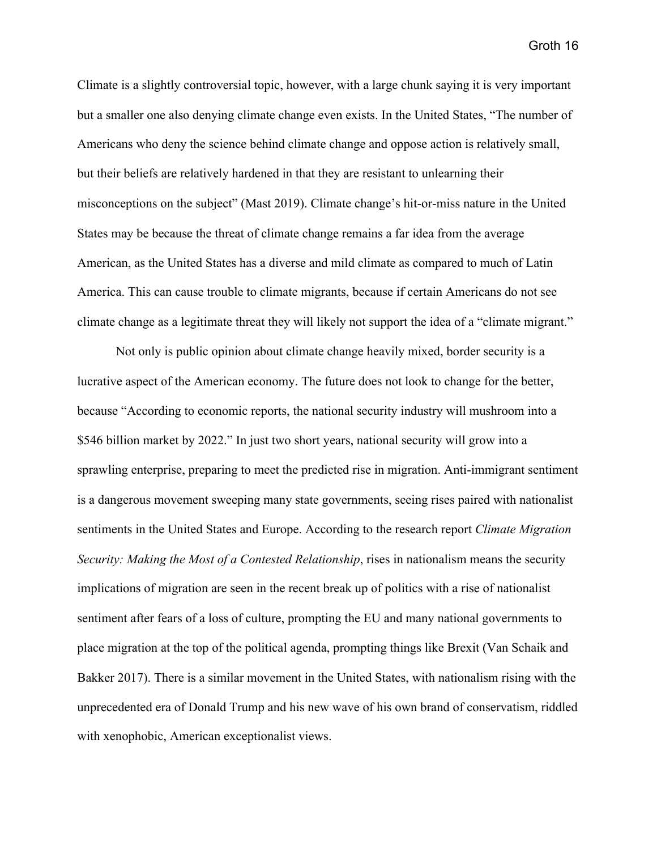Climate is a slightly controversial topic, however, with a large chunk saying it is very important but a smaller one also denying climate change even exists. In the United States, "The number of Americans who deny the science behind climate change and oppose action is relatively small, but their beliefs are relatively hardened in that they are resistant to unlearning their misconceptions on the subject" (Mast 2019). Climate change's hit-or-miss nature in the United States may be because the threat of climate change remains a far idea from the average American, as the United States has a diverse and mild climate as compared to much of Latin America. This can cause trouble to climate migrants, because if certain Americans do not see climate change as a legitimate threat they will likely not support the idea of a "climate migrant."

Not only is public opinion about climate change heavily mixed, border security is a lucrative aspect of the American economy. The future does not look to change for the better, because "According to economic reports, the national security industry will mushroom into a \$546 billion market by 2022." In just two short years, national security will grow into a sprawling enterprise, preparing to meet the predicted rise in migration. Anti-immigrant sentiment is a dangerous movement sweeping many state governments, seeing rises paired with nationalist sentiments in the United States and Europe. According to the research report *Climate Migration Security: Making the Most of a Contested Relationship*, rises in nationalism means the security implications of migration are seen in the recent break up of politics with a rise of nationalist sentiment after fears of a loss of culture, prompting the EU and many national governments to place migration at the top of the political agenda, prompting things like Brexit (Van Schaik and Bakker 2017). There is a similar movement in the United States, with nationalism rising with the unprecedented era of Donald Trump and his new wave of his own brand of conservatism, riddled with xenophobic, American exceptionalist views.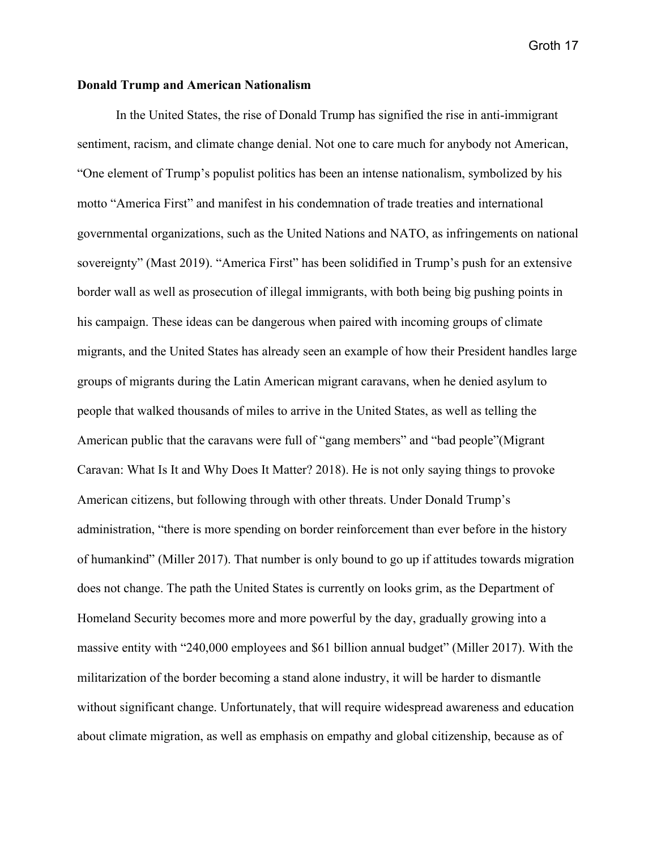## **Donald Trump and American Nationalism**

In the United States, the rise of Donald Trump has signified the rise in anti-immigrant sentiment, racism, and climate change denial. Not one to care much for anybody not American, "One element of Trump's populist politics has been an intense nationalism, symbolized by his motto "America First" and manifest in his condemnation of trade treaties and international governmental organizations, such as the United Nations and NATO, as infringements on national sovereignty" (Mast 2019). "America First" has been solidified in Trump's push for an extensive border wall as well as prosecution of illegal immigrants, with both being big pushing points in his campaign. These ideas can be dangerous when paired with incoming groups of climate migrants, and the United States has already seen an example of how their President handles large groups of migrants during the Latin American migrant caravans, when he denied asylum to people that walked thousands of miles to arrive in the United States, as well as telling the American public that the caravans were full of "gang members" and "bad people"(Migrant Caravan: What Is It and Why Does It Matter? 2018). He is not only saying things to provoke American citizens, but following through with other threats. Under Donald Trump's administration, "there is more spending on border reinforcement than ever before in the history of humankind" (Miller 2017). That number is only bound to go up if attitudes towards migration does not change. The path the United States is currently on looks grim, as the Department of Homeland Security becomes more and more powerful by the day, gradually growing into a massive entity with "240,000 employees and \$61 billion annual budget" (Miller 2017). With the militarization of the border becoming a stand alone industry, it will be harder to dismantle without significant change. Unfortunately, that will require widespread awareness and education about climate migration, as well as emphasis on empathy and global citizenship, because as of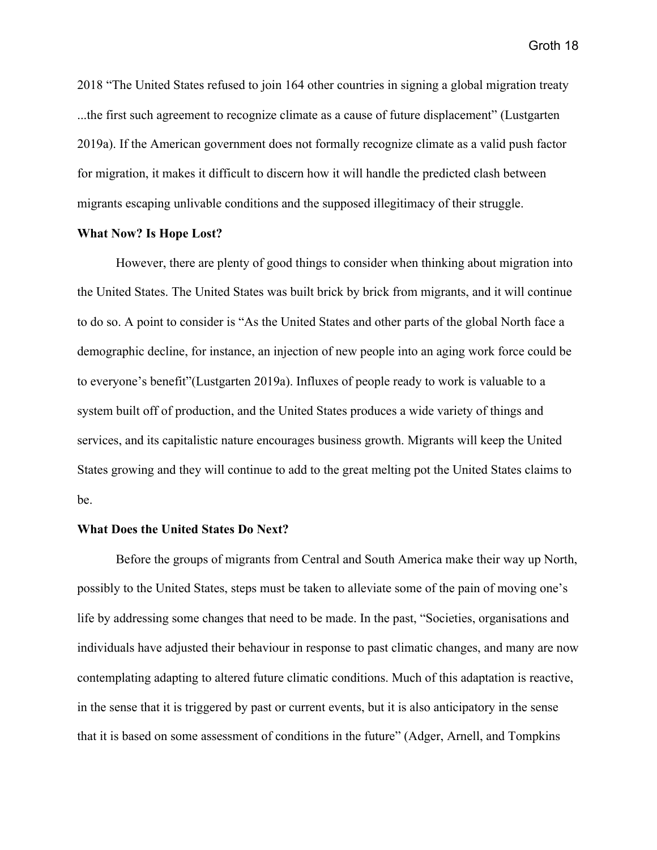2018 "The United States refused to join 164 other countries in signing a global migration treaty ...the first such agreement to recognize climate as a cause of future displacement" (Lustgarten 2019a). If the American government does not formally recognize climate as a valid push factor for migration, it makes it difficult to discern how it will handle the predicted clash between migrants escaping unlivable conditions and the supposed illegitimacy of their struggle.

### **What Now? Is Hope Lost?**

However, there are plenty of good things to consider when thinking about migration into the United States. The United States was built brick by brick from migrants, and it will continue to do so. A point to consider is "As the United States and other parts of the global North face a demographic decline, for instance, an injection of new people into an aging work force could be to everyone's benefit"(Lustgarten 2019a). Influxes of people ready to work is valuable to a system built off of production, and the United States produces a wide variety of things and services, and its capitalistic nature encourages business growth. Migrants will keep the United States growing and they will continue to add to the great melting pot the United States claims to be.

### **What Does the United States Do Next?**

Before the groups of migrants from Central and South America make their way up North, possibly to the United States, steps must be taken to alleviate some of the pain of moving one's life by addressing some changes that need to be made. In the past, "Societies, organisations and individuals have adjusted their behaviour in response to past climatic changes, and many are now contemplating adapting to altered future climatic conditions. Much of this adaptation is reactive, in the sense that it is triggered by past or current events, but it is also anticipatory in the sense that it is based on some assessment of conditions in the future" (Adger, Arnell, and Tompkins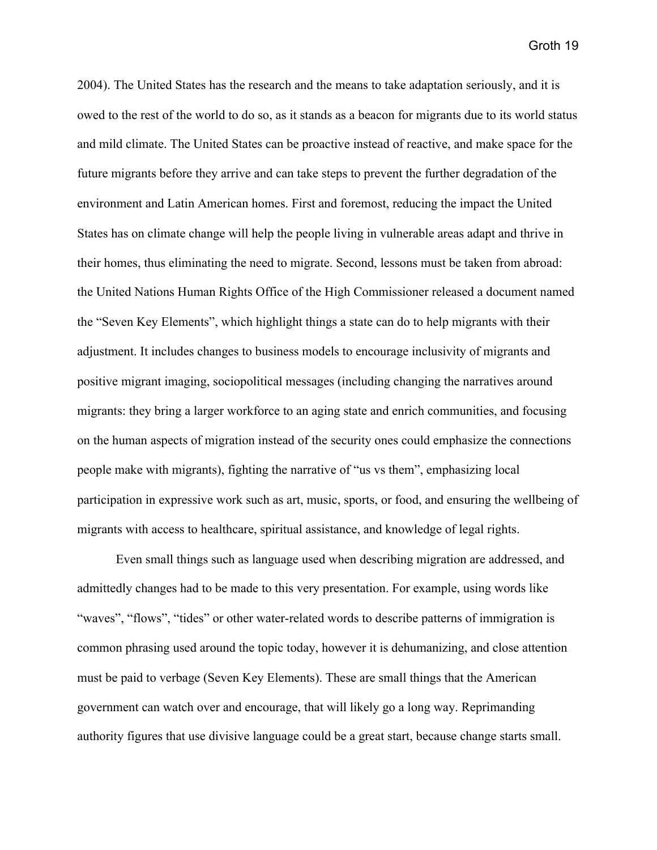2004). The United States has the research and the means to take adaptation seriously, and it is owed to the rest of the world to do so, as it stands as a beacon for migrants due to its world status and mild climate. The United States can be proactive instead of reactive, and make space for the future migrants before they arrive and can take steps to prevent the further degradation of the environment and Latin American homes. First and foremost, reducing the impact the United States has on climate change will help the people living in vulnerable areas adapt and thrive in their homes, thus eliminating the need to migrate. Second, lessons must be taken from abroad: the United Nations Human Rights Office of the High Commissioner released a document named the "Seven Key Elements", which highlight things a state can do to help migrants with their adjustment. It includes changes to business models to encourage inclusivity of migrants and positive migrant imaging, sociopolitical messages (including changing the narratives around migrants: they bring a larger workforce to an aging state and enrich communities, and focusing on the human aspects of migration instead of the security ones could emphasize the connections people make with migrants), fighting the narrative of "us vs them", emphasizing local participation in expressive work such as art, music, sports, or food, and ensuring the wellbeing of migrants with access to healthcare, spiritual assistance, and knowledge of legal rights.

Even small things such as language used when describing migration are addressed, and admittedly changes had to be made to this very presentation. For example, using words like "waves", "flows", "tides" or other water-related words to describe patterns of immigration is common phrasing used around the topic today, however it is dehumanizing, and close attention must be paid to verbage (Seven Key Elements). These are small things that the American government can watch over and encourage, that will likely go a long way. Reprimanding authority figures that use divisive language could be a great start, because change starts small.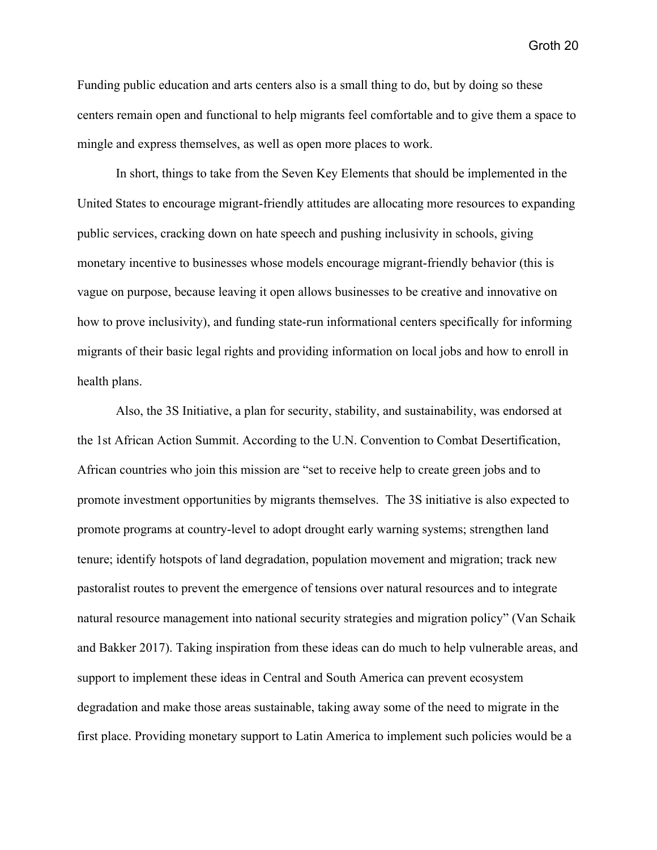Funding public education and arts centers also is a small thing to do, but by doing so these centers remain open and functional to help migrants feel comfortable and to give them a space to mingle and express themselves, as well as open more places to work.

In short, things to take from the Seven Key Elements that should be implemented in the United States to encourage migrant-friendly attitudes are allocating more resources to expanding public services, cracking down on hate speech and pushing inclusivity in schools, giving monetary incentive to businesses whose models encourage migrant-friendly behavior (this is vague on purpose, because leaving it open allows businesses to be creative and innovative on how to prove inclusivity), and funding state-run informational centers specifically for informing migrants of their basic legal rights and providing information on local jobs and how to enroll in health plans.

Also, the 3S Initiative, a plan for security, stability, and sustainability, was endorsed at the 1st African Action Summit. According to the U.N. Convention to Combat Desertification, African countries who join this mission are "set to receive help to create green jobs and to promote investment opportunities by migrants themselves. The 3S initiative is also expected to promote programs at country-level to adopt drought early warning systems; strengthen land tenure; identify hotspots of land degradation, population movement and migration; track new pastoralist routes to prevent the emergence of tensions over natural resources and to integrate natural resource management into national security strategies and migration policy" (Van Schaik and Bakker 2017). Taking inspiration from these ideas can do much to help vulnerable areas, and support to implement these ideas in Central and South America can prevent ecosystem degradation and make those areas sustainable, taking away some of the need to migrate in the first place. Providing monetary support to Latin America to implement such policies would be a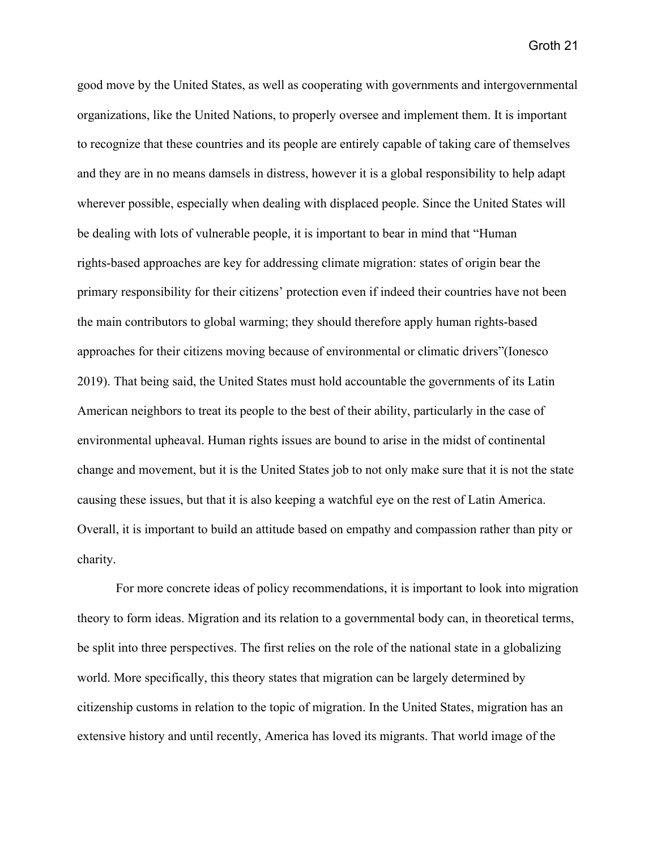good move by the United States, as well as cooperating with governments and intergovernmental organizations, like the United Nations, to properly oversee and implement them. It is important to recognize that these countries and its people are entirely capable of taking care of themselves and they are in no means damsels in distress, however it is a global responsibility to help adapt wherever possible, especially when dealing with displaced people. Since the United States will be dealing with lots of vulnerable people, it is important to bear in mind that "Human rights-based approaches are key for addressing climate migration: states of origin bear the primary responsibility for their citizens' protection even if indeed their countries have not been the main contributors to global warming; they should therefore apply human rights-based approaches for their citizens moving because of environmental or climatic drivers"(Ionesco 2019). That being said, the United States must hold accountable the governments of its Latin American neighbors to treat its people to the best of their ability, particularly in the case of environmental upheaval. Human rights issues are bound to arise in the midst of continental change and movement, but it is the United States job to not only make sure that it is not the state causing these issues, but that it is also keeping a watchful eye on the rest of Latin America. Overall, it is important to build an attitude based on empathy and compassion rather than pity or charity.

For more concrete ideas of policy recommendations, it is important to look into migration theory to form ideas. Migration and its relation to a governmental body can, in theoretical terms, be split into three perspectives. The first relies on the role of the national state in a globalizing world. More specifically, this theory states that migration can be largely determined by citizenship customs in relation to the topic of migration. In the United States, migration has an extensive history and until recently, America has loved its migrants. That world image of the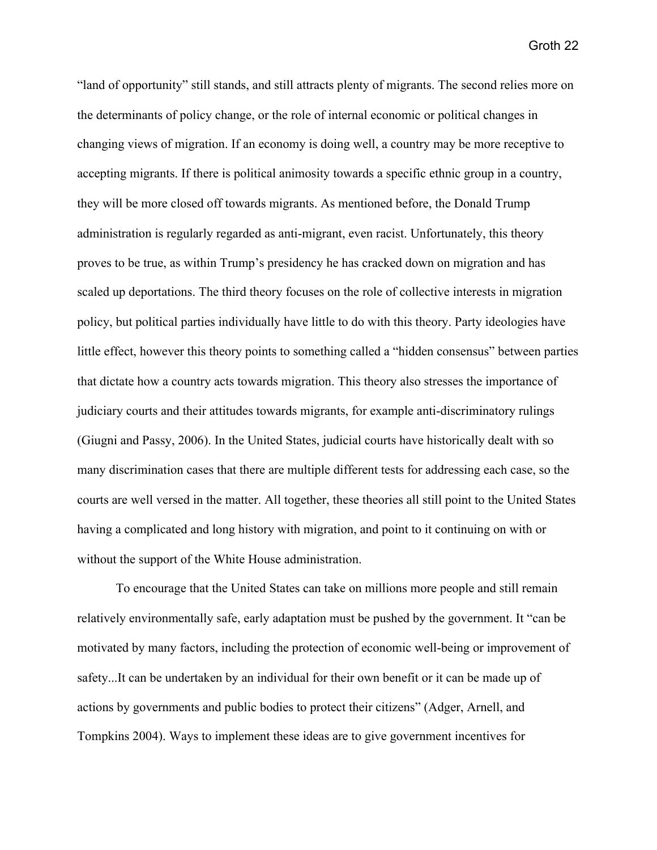"land of opportunity" still stands, and still attracts plenty of migrants. The second relies more on the determinants of policy change, or the role of internal economic or political changes in changing views of migration. If an economy is doing well, a country may be more receptive to accepting migrants. If there is political animosity towards a specific ethnic group in a country, they will be more closed off towards migrants. As mentioned before, the Donald Trump administration is regularly regarded as anti-migrant, even racist. Unfortunately, this theory proves to be true, as within Trump's presidency he has cracked down on migration and has scaled up deportations. The third theory focuses on the role of collective interests in migration policy, but political parties individually have little to do with this theory. Party ideologies have little effect, however this theory points to something called a "hidden consensus" between parties that dictate how a country acts towards migration. This theory also stresses the importance of judiciary courts and their attitudes towards migrants, for example anti-discriminatory rulings (Giugni and Passy, 2006). In the United States, judicial courts have historically dealt with so many discrimination cases that there are multiple different tests for addressing each case, so the courts are well versed in the matter. All together, these theories all still point to the United States having a complicated and long history with migration, and point to it continuing on with or without the support of the White House administration.

To encourage that the United States can take on millions more people and still remain relatively environmentally safe, early adaptation must be pushed by the government. It "can be motivated by many factors, including the protection of economic well-being or improvement of safety...It can be undertaken by an individual for their own benefit or it can be made up of actions by governments and public bodies to protect their citizens" (Adger, Arnell, and Tompkins 2004). Ways to implement these ideas are to give government incentives for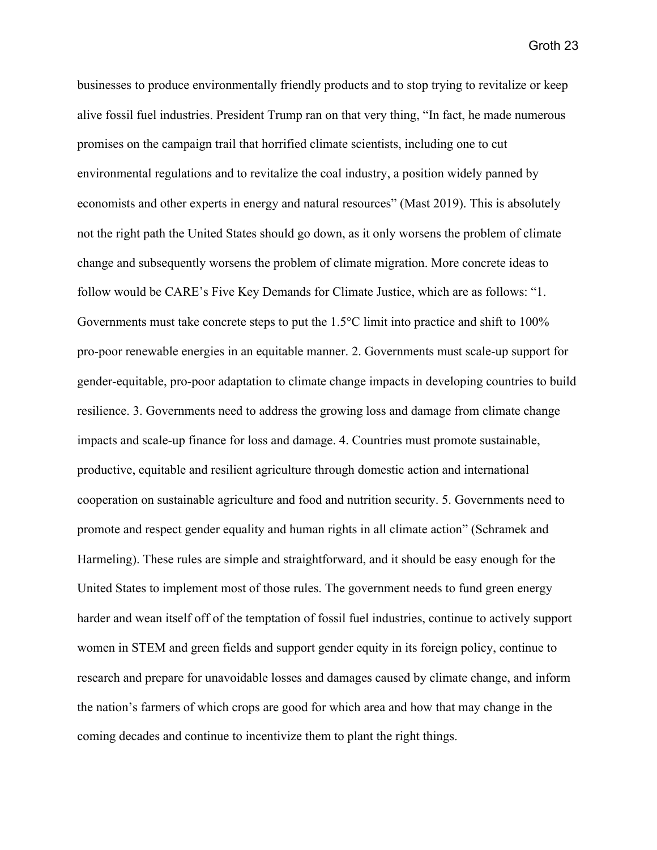businesses to produce environmentally friendly products and to stop trying to revitalize or keep alive fossil fuel industries. President Trump ran on that very thing, "In fact, he made numerous promises on the campaign trail that horrified climate scientists, including one to cut environmental regulations and to revitalize the coal industry, a position widely panned by economists and other experts in energy and natural resources" (Mast 2019). This is absolutely not the right path the United States should go down, as it only worsens the problem of climate change and subsequently worsens the problem of climate migration. More concrete ideas to follow would be CARE's Five Key Demands for Climate Justice, which are as follows: "1. Governments must take concrete steps to put the 1.5°C limit into practice and shift to 100% pro-poor renewable energies in an equitable manner. 2. Governments must scale-up support for gender-equitable, pro-poor adaptation to climate change impacts in developing countries to build resilience. 3. Governments need to address the growing loss and damage from climate change impacts and scale-up finance for loss and damage. 4. Countries must promote sustainable, productive, equitable and resilient agriculture through domestic action and international cooperation on sustainable agriculture and food and nutrition security. 5. Governments need to promote and respect gender equality and human rights in all climate action" (Schramek and Harmeling). These rules are simple and straightforward, and it should be easy enough for the United States to implement most of those rules. The government needs to fund green energy harder and wean itself off of the temptation of fossil fuel industries, continue to actively support women in STEM and green fields and support gender equity in its foreign policy, continue to research and prepare for unavoidable losses and damages caused by climate change, and inform the nation's farmers of which crops are good for which area and how that may change in the coming decades and continue to incentivize them to plant the right things.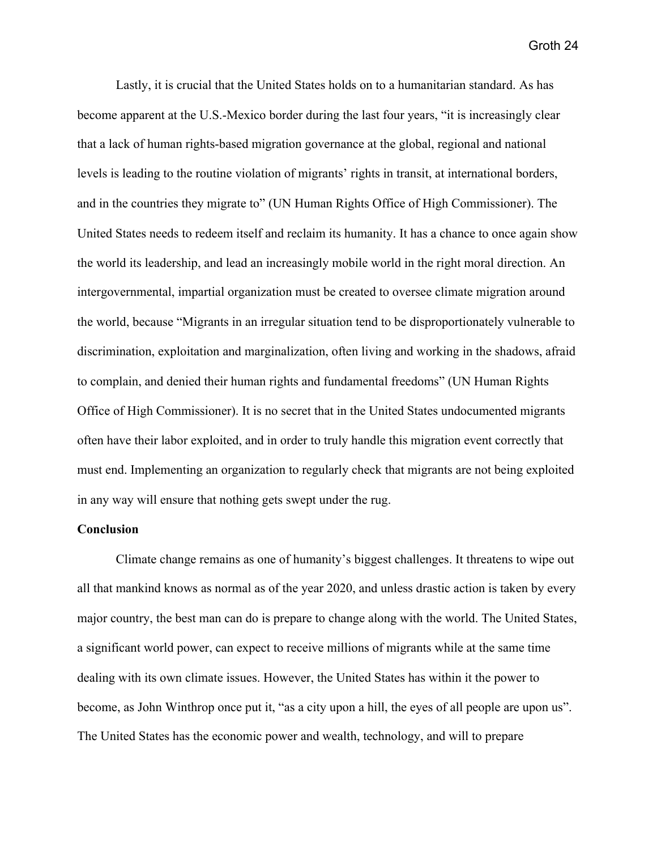Lastly, it is crucial that the United States holds on to a humanitarian standard. As has become apparent at the U.S.-Mexico border during the last four years, "it is increasingly clear that a lack of human rights-based migration governance at the global, regional and national levels is leading to the routine violation of migrants' rights in transit, at international borders, and in the countries they migrate to" (UN Human Rights Office of High Commissioner). The United States needs to redeem itself and reclaim its humanity. It has a chance to once again show the world its leadership, and lead an increasingly mobile world in the right moral direction. An intergovernmental, impartial organization must be created to oversee climate migration around the world, because "Migrants in an irregular situation tend to be disproportionately vulnerable to discrimination, exploitation and marginalization, often living and working in the shadows, afraid to complain, and denied their human rights and fundamental freedoms" (UN Human Rights Office of High Commissioner). It is no secret that in the United States undocumented migrants often have their labor exploited, and in order to truly handle this migration event correctly that must end. Implementing an organization to regularly check that migrants are not being exploited in any way will ensure that nothing gets swept under the rug.

## **Conclusion**

Climate change remains as one of humanity's biggest challenges. It threatens to wipe out all that mankind knows as normal as of the year 2020, and unless drastic action is taken by every major country, the best man can do is prepare to change along with the world. The United States, a significant world power, can expect to receive millions of migrants while at the same time dealing with its own climate issues. However, the United States has within it the power to become, as John Winthrop once put it, "as a city upon a hill, the eyes of all people are upon us". The United States has the economic power and wealth, technology, and will to prepare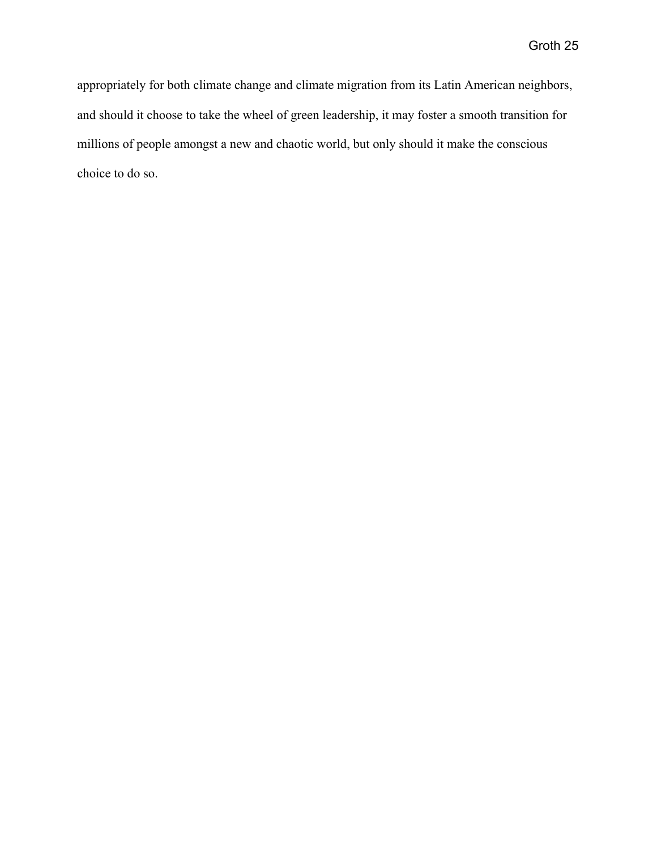appropriately for both climate change and climate migration from its Latin American neighbors, and should it choose to take the wheel of green leadership, it may foster a smooth transition for millions of people amongst a new and chaotic world, but only should it make the conscious choice to do so.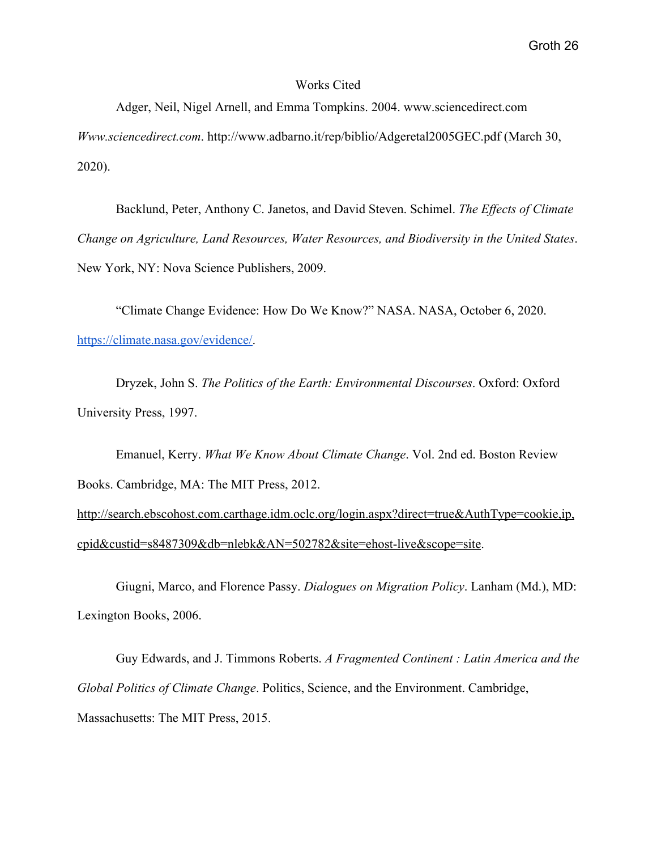## Works Cited

Adger, Neil, Nigel Arnell, and Emma Tompkins. 2004. www.sciencedirect.com *Www.sciencedirect.com*. http://www.adbarno.it/rep/biblio/Adgeretal2005GEC.pdf (March 30, 2020).

Backlund, Peter, Anthony C. Janetos, and David Steven. Schimel. *The Effects of Climate Change on Agriculture, Land Resources, Water Resources, and Biodiversity in the United States*. New York, NY: Nova Science Publishers, 2009.

"Climate Change Evidence: How Do We Know?" NASA. NASA, October 6, 2020. [https://climate.nasa.gov/evidence/.](https://climate.nasa.gov/evidence/)

Dryzek, John S. *The Politics of the Earth: Environmental Discourses*. Oxford: Oxford University Press, 1997.

Emanuel, Kerry. *What We Know About Climate Change*. Vol. 2nd ed. Boston Review Books. Cambridge, MA: The MIT Press, 2012.

[http://search.ebscohost.com.carthage.idm.oclc.org/login.aspx?direct=true&AuthType=cookie,ip,](http://search.ebscohost.com.carthage.idm.oclc.org/login.aspx?direct=true&AuthType=cookie,ip,cpid&custid=s8487309&db=nlebk&AN=502782&site=ehost-live&scope=site) [cpid&custid=s8487309&db=nlebk&AN=502782&site=ehost-live&scope=site](http://search.ebscohost.com.carthage.idm.oclc.org/login.aspx?direct=true&AuthType=cookie,ip,cpid&custid=s8487309&db=nlebk&AN=502782&site=ehost-live&scope=site).

Giugni, Marco, and Florence Passy. *Dialogues on Migration Policy*. Lanham (Md.), MD: Lexington Books, 2006.

Guy Edwards, and J. Timmons Roberts. *A Fragmented Continent : Latin America and the Global Politics of Climate Change*. Politics, Science, and the Environment. Cambridge, Massachusetts: The MIT Press, 2015.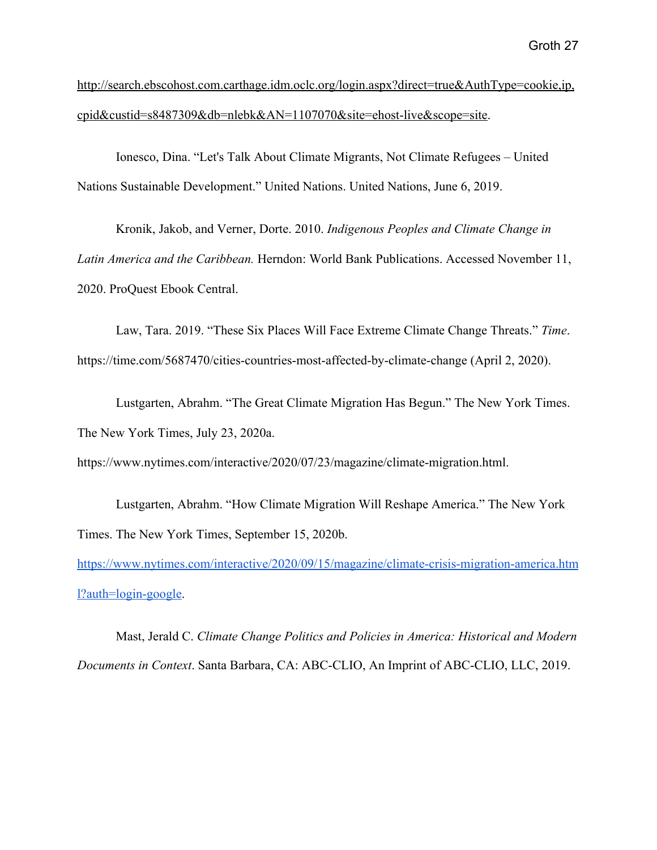[http://search.ebscohost.com.carthage.idm.oclc.org/login.aspx?direct=true&AuthType=cookie,ip,](http://search.ebscohost.com.carthage.idm.oclc.org/login.aspx?direct=true&AuthType=cookie,ip,cpid&custid=s8487309&db=nlebk&AN=1107070&site=ehost-live&scope=site) [cpid&custid=s8487309&db=nlebk&AN=1107070&site=ehost-live&scope=site](http://search.ebscohost.com.carthage.idm.oclc.org/login.aspx?direct=true&AuthType=cookie,ip,cpid&custid=s8487309&db=nlebk&AN=1107070&site=ehost-live&scope=site).

Ionesco, Dina. "Let's Talk About Climate Migrants, Not Climate Refugees – United Nations Sustainable Development." United Nations. United Nations, June 6, 2019.

Kronik, Jakob, and Verner, Dorte. 2010. *Indigenous Peoples and Climate Change in Latin America and the Caribbean.* Herndon: World Bank Publications. Accessed November 11, 2020. ProQuest Ebook Central.

Law, Tara. 2019. "These Six Places Will Face Extreme Climate Change Threats." *Time*. https://time.com/5687470/cities-countries-most-affected-by-climate-change (April 2, 2020).

Lustgarten, Abrahm. "The Great Climate Migration Has Begun." The New York Times. The New York Times, July 23, 2020a.

https://www.nytimes.com/interactive/2020/07/23/magazine/climate-migration.html.

Lustgarten, Abrahm. "How Climate Migration Will Reshape America." The New York Times. The New York Times, September 15, 2020b.

[https://www.nytimes.com/interactive/2020/09/15/magazine/climate-crisis-migration-america.htm](https://www.nytimes.com/interactive/2020/09/15/magazine/climate-crisis-migration-america.html?auth=login-google) [l?auth=login-google.](https://www.nytimes.com/interactive/2020/09/15/magazine/climate-crisis-migration-america.html?auth=login-google)

Mast, Jerald C. *Climate Change Politics and Policies in America: Historical and Modern Documents in Context*. Santa Barbara, CA: ABC-CLIO, An Imprint of ABC-CLIO, LLC, 2019.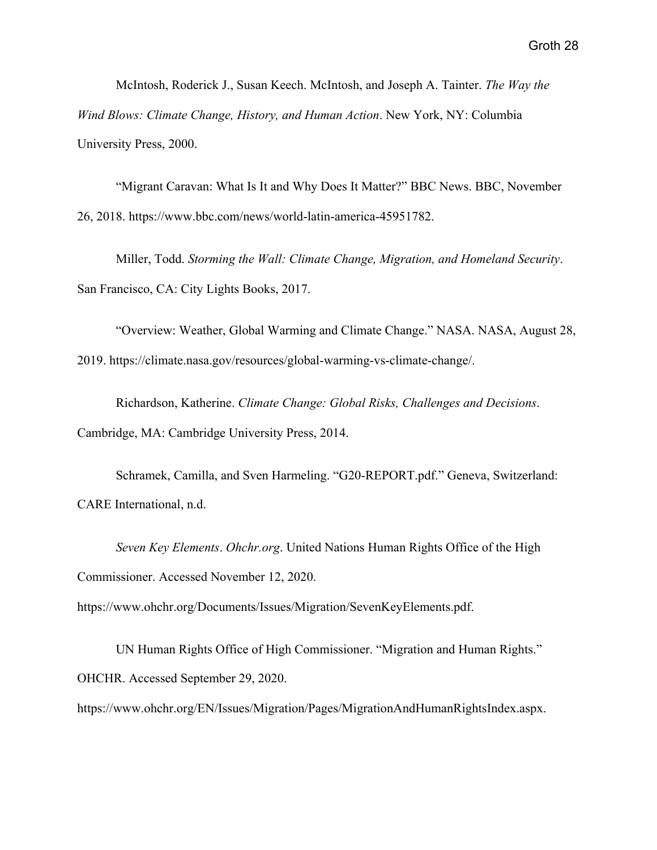McIntosh, Roderick J., Susan Keech. McIntosh, and Joseph A. Tainter. *The Way the Wind Blows: Climate Change, History, and Human Action*. New York, NY: Columbia University Press, 2000.

"Migrant Caravan: What Is It and Why Does It Matter?" BBC News. BBC, November 26, 2018. https://www.bbc.com/news/world-latin-america-45951782.

Miller, Todd. *Storming the Wall: Climate Change, Migration, and Homeland Security*. San Francisco, CA: City Lights Books, 2017.

"Overview: Weather, Global Warming and Climate Change." NASA. NASA, August 28, 2019. https://climate.nasa.gov/resources/global-warming-vs-climate-change/.

Richardson, Katherine. *Climate Change: Global Risks, Challenges and Decisions*. Cambridge, MA: Cambridge University Press, 2014.

Schramek, Camilla, and Sven Harmeling. "G20-REPORT.pdf." Geneva, Switzerland: CARE International, n.d.

*Seven Key Elements*. *Ohchr.org*. United Nations Human Rights Office of the High Commissioner. Accessed November 12, 2020.

https://www.ohchr.org/Documents/Issues/Migration/SevenKeyElements.pdf.

UN Human Rights Office of High Commissioner. "Migration and Human Rights." OHCHR. Accessed September 29, 2020.

https://www.ohchr.org/EN/Issues/Migration/Pages/MigrationAndHumanRightsIndex.aspx.